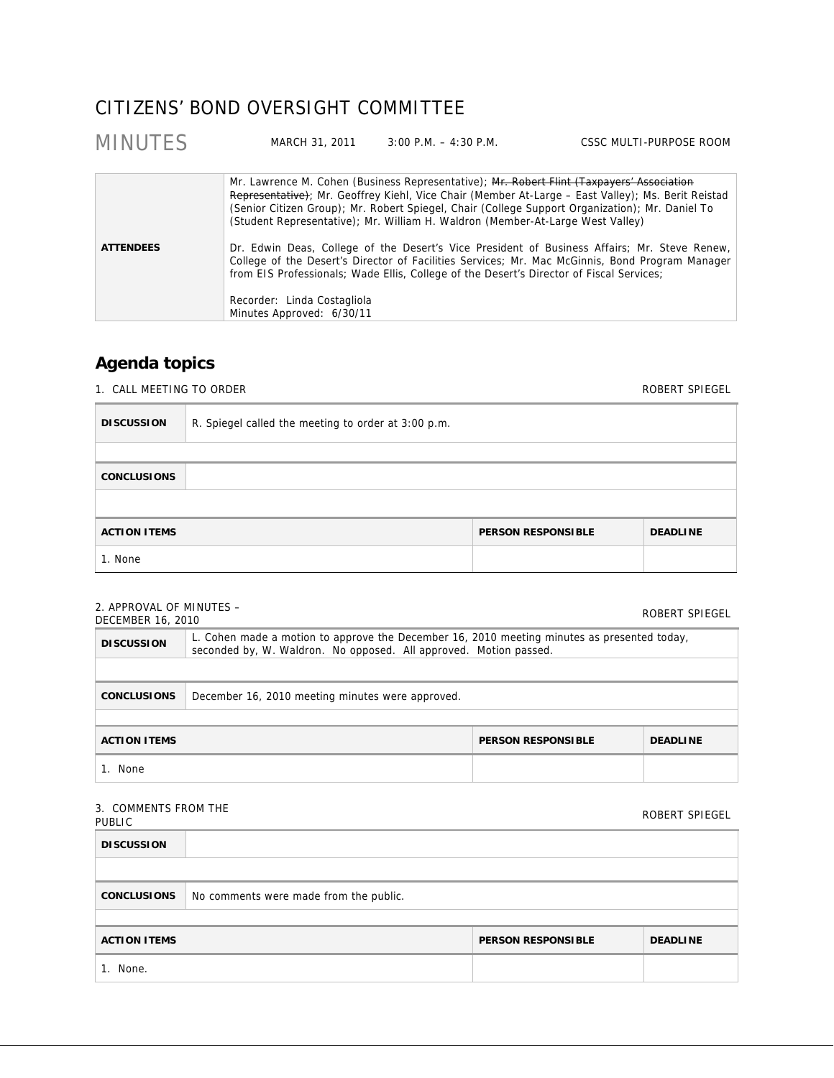## CITIZENS' BOND OVERSIGHT COMMITTEE

| <b>MINUTES</b>                                                                                                                                                                                                                                                                                                                                                              | MARCH 31, 2011 | $3:00$ P.M. $-4:30$ P.M.                                                                                                                                                    | CSSC MULTI-PURPOSE ROOM                                                                                                                                                                               |
|-----------------------------------------------------------------------------------------------------------------------------------------------------------------------------------------------------------------------------------------------------------------------------------------------------------------------------------------------------------------------------|----------------|-----------------------------------------------------------------------------------------------------------------------------------------------------------------------------|-------------------------------------------------------------------------------------------------------------------------------------------------------------------------------------------------------|
|                                                                                                                                                                                                                                                                                                                                                                             |                | Mr. Lawrence M. Cohen (Business Representative); Mr. Robert Flint (Taxpayers' Association<br>(Student Representative); Mr. William H. Waldron (Member-At-Large West Valley) | Representative); Mr. Geoffrey Kiehl, Vice Chair (Member At-Large – East Valley); Ms. Berit Reistad<br>(Senior Citizen Group); Mr. Robert Spiegel, Chair (College Support Organization); Mr. Daniel To |
| Dr. Edwin Deas, College of the Desert's Vice President of Business Affairs; Mr. Steve Renew,<br><b>ATTENDEES</b><br>College of the Desert's Director of Facilities Services; Mr. Mac McGinnis, Bond Program Manager<br>from EIS Professionals; Wade Ellis, College of the Desert's Director of Fiscal Services;<br>Recorder: Linda Costagliola<br>Minutes Approved: 6/30/11 |                |                                                                                                                                                                             |                                                                                                                                                                                                       |

## **Agenda topics**

1. CALL MEETING TO ORDER

| <b>DISCUSSION</b>                                                   | R. Spiegel called the meeting to order at 3:00 p.m. |  |  |  |
|---------------------------------------------------------------------|-----------------------------------------------------|--|--|--|
|                                                                     |                                                     |  |  |  |
| <b>CONCLUSIONS</b>                                                  |                                                     |  |  |  |
|                                                                     |                                                     |  |  |  |
| <b>ACTION ITEMS</b><br><b>DEADLINE</b><br><b>PERSON RESPONSIBLE</b> |                                                     |  |  |  |
| 1. None                                                             |                                                     |  |  |  |

## 2. APPROVAL OF MINUTES –

| $\mathsf{L}$ . AT TIVO VALIOTI IVIII VOTEJ –<br><b>DECEMBER 16, 2010</b> |                                                                                                                                                                  |                           | ROBERT SPIEGEL  |  |
|--------------------------------------------------------------------------|------------------------------------------------------------------------------------------------------------------------------------------------------------------|---------------------------|-----------------|--|
| <b>DISCUSSION</b>                                                        | L. Cohen made a motion to approve the December 16, 2010 meeting minutes as presented today,<br>seconded by, W. Waldron. No opposed. All approved. Motion passed. |                           |                 |  |
|                                                                          |                                                                                                                                                                  |                           |                 |  |
| <b>CONCLUSIONS</b>                                                       | December 16, 2010 meeting minutes were approved.                                                                                                                 |                           |                 |  |
|                                                                          |                                                                                                                                                                  |                           |                 |  |
| <b>ACTION ITEMS</b>                                                      |                                                                                                                                                                  | <b>PERSON RESPONSIBLE</b> | <b>DEADLINE</b> |  |
| 1. None                                                                  |                                                                                                                                                                  |                           |                 |  |

## 3. COMMENTS FROM THE

| <b>J. CONTRILIVIJI INONI IIIL</b><br>PUBLIC |                                        |                           | ROBERT SPIEGEL  |  |  |
|---------------------------------------------|----------------------------------------|---------------------------|-----------------|--|--|
| <b>DISCUSSION</b>                           |                                        |                           |                 |  |  |
|                                             |                                        |                           |                 |  |  |
| <b>CONCLUSIONS</b>                          | No comments were made from the public. |                           |                 |  |  |
|                                             |                                        |                           |                 |  |  |
| <b>ACTION ITEMS</b>                         |                                        | <b>PERSON RESPONSIBLE</b> | <b>DEADLINE</b> |  |  |
| 1. None.                                    |                                        |                           |                 |  |  |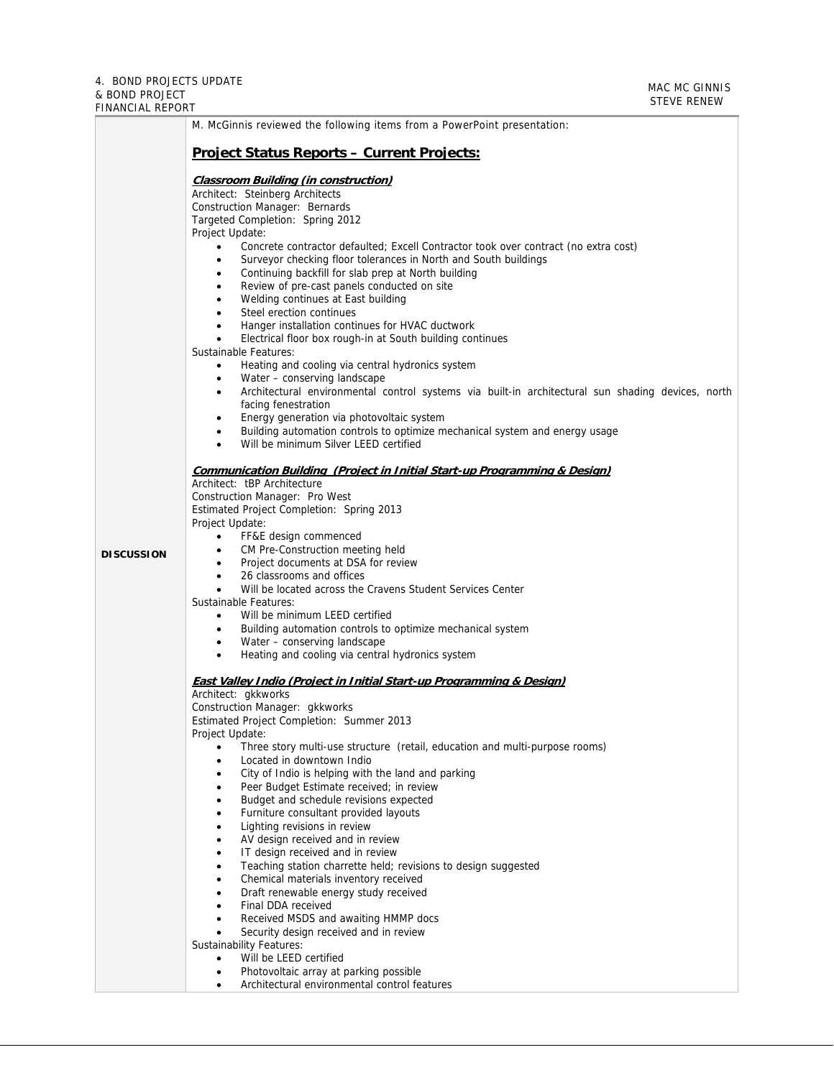| M. McGinnis reviewed the following items from a PowerPoint presentation:                                                                                                                                                                                                                                                                                                                                                                                                                                                                                                                                                                                                                                                                                                                                                                                                                                                                                                                                                                                                                                                                          |
|---------------------------------------------------------------------------------------------------------------------------------------------------------------------------------------------------------------------------------------------------------------------------------------------------------------------------------------------------------------------------------------------------------------------------------------------------------------------------------------------------------------------------------------------------------------------------------------------------------------------------------------------------------------------------------------------------------------------------------------------------------------------------------------------------------------------------------------------------------------------------------------------------------------------------------------------------------------------------------------------------------------------------------------------------------------------------------------------------------------------------------------------------|
| <b>Project Status Reports - Current Projects:</b>                                                                                                                                                                                                                                                                                                                                                                                                                                                                                                                                                                                                                                                                                                                                                                                                                                                                                                                                                                                                                                                                                                 |
| <b>Classroom Building (in construction)</b><br>Architect: Steinberg Architects<br>Construction Manager: Bernards<br>Targeted Completion: Spring 2012<br>Project Update:<br>Concrete contractor defaulted; Excell Contractor took over contract (no extra cost)<br>$\bullet$<br>Surveyor checking floor tolerances in North and South buildings<br>Continuing backfill for slab prep at North building<br>٠<br>Review of pre-cast panels conducted on site<br>٠<br>Welding continues at East building<br>Steel erection continues<br>$\bullet$<br>Hanger installation continues for HVAC ductwork<br>Electrical floor box rough-in at South building continues<br>$\bullet$<br>Sustainable Features:<br>Heating and cooling via central hydronics system<br>Water - conserving landscape<br>$\bullet$<br>Architectural environmental control systems via built-in architectural sun shading devices, north<br>٠<br>facing fenestration<br>Energy generation via photovoltaic system<br>$\bullet$<br>Building automation controls to optimize mechanical system and energy usage<br>Will be minimum Silver LEED certified                           |
| <b>Communication Building (Project in Initial Start-up Programming &amp; Design)</b><br>Architect: tBP Architecture<br>Construction Manager: Pro West<br>Estimated Project Completion: Spring 2013<br>Project Update:<br>FF&E design commenced<br>$\bullet$<br>CM Pre-Construction meeting held<br>$\bullet$<br>Project documents at DSA for review<br>$\bullet$<br>26 classrooms and offices<br>$\bullet$<br>Will be located across the Cravens Student Services Center<br>Sustainable Features:<br>Will be minimum LEED certified<br>$\bullet$<br>Building automation controls to optimize mechanical system<br>٠<br>Water - conserving landscape                                                                                                                                                                                                                                                                                                                                                                                                                                                                                               |
| Heating and cooling via central hydronics system<br>$\bullet$<br><b>East Valley Indio (Project in Initial Start-up Programming &amp; Design)</b><br>Architect: gkkworks<br>Construction Manager: gkkworks<br>Estimated Project Completion: Summer 2013<br>Project Update:<br>Three story multi-use structure (retail, education and multi-purpose rooms)<br>$\bullet$<br>Located in downtown Indio<br>٠<br>City of Indio is helping with the land and parking<br>Peer Budget Estimate received; in review<br>Budget and schedule revisions expected<br>Furniture consultant provided layouts<br>Lighting revisions in review<br>AV design received and in review<br>IT design received and in review<br>Teaching station charrette held; revisions to design suggested<br>Chemical materials inventory received<br>Draft renewable energy study received<br>Final DDA received<br>Received MSDS and awaiting HMMP docs<br>Security design received and in review<br><b>Sustainability Features:</b><br>Will be LEED certified<br>$\bullet$<br>Photovoltaic array at parking possible<br>Architectural environmental control features<br>$\bullet$ |
|                                                                                                                                                                                                                                                                                                                                                                                                                                                                                                                                                                                                                                                                                                                                                                                                                                                                                                                                                                                                                                                                                                                                                   |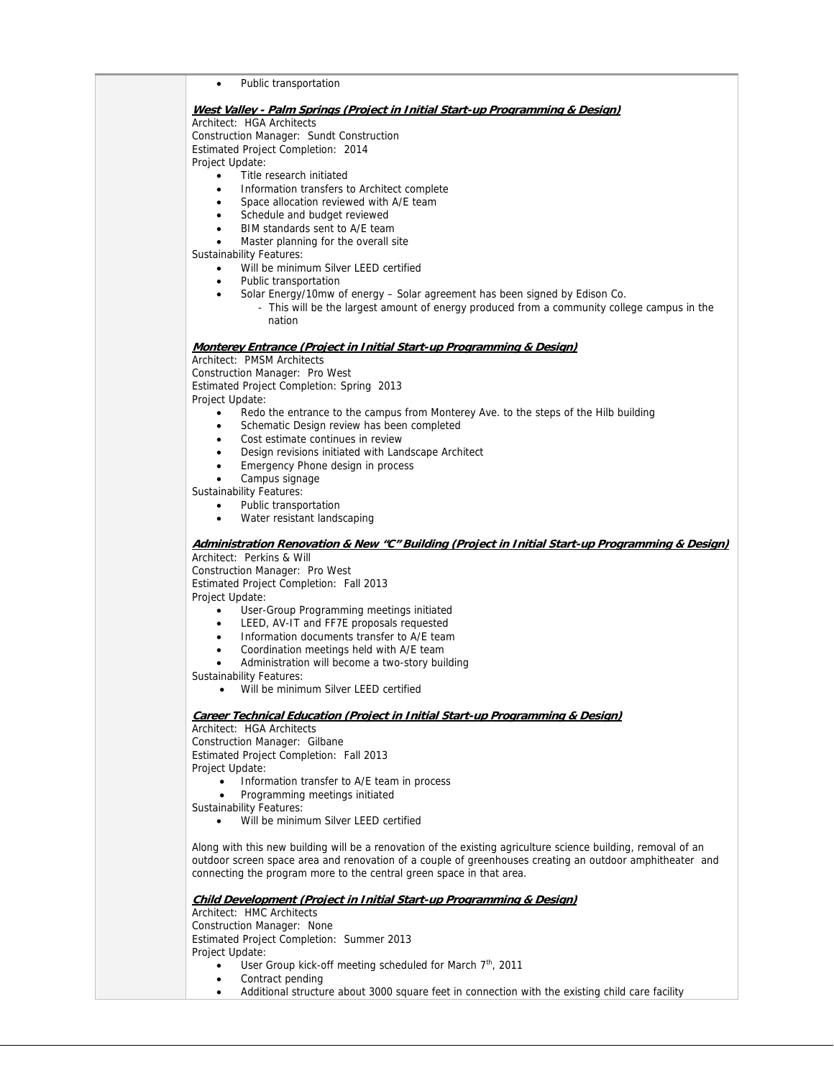Public transportation **West Valley - Palm Springs (Project in Initial Start-up Programming & Design)** Architect: HGA Architects Construction Manager: Sundt Construction Estimated Project Completion: 2014 Project Update: Title research initiated • Information transfers to Architect complete Space allocation reviewed with A/E team Schedule and budget reviewed BIM standards sent to A/E team Master planning for the overall site Sustainability Features: Will be minimum Silver LEED certified Public transportation Solar Energy/10mw of energy – Solar agreement has been signed by Edison Co. - This will be the largest amount of energy produced from a community college campus in the nation **Monterey Entrance (Project in Initial Start-up Programming & Design)** Architect: PMSM Architects Construction Manager: Pro West Estimated Project Completion: Spring 2013 Project Update: Redo the entrance to the campus from Monterey Ave. to the steps of the Hilb building • Schematic Design review has been completed Cost estimate continues in review Design revisions initiated with Landscape Architect Emergency Phone design in process Campus signage Sustainability Features: • Public transportation • Water resistant landscaping **Administration Renovation & New "C" Building (Project in Initial Start-up Programming & Design)** Architect: Perkins & Will Construction Manager: Pro West Estimated Project Completion: Fall 2013 Project Update: User-Group Programming meetings initiated • LEED, AV-IT and FF7E proposals requested Information documents transfer to A/E team Coordination meetings held with A/E team Administration will become a two-story building Sustainability Features: Will be minimum Silver LEED certified **Career Technical Education (Project in Initial Start-up Programming & Design)** Architect: HGA Architects Construction Manager: Gilbane Estimated Project Completion: Fall 2013 Project Update: • Information transfer to A/E team in process Programming meetings initiated Sustainability Features: Will be minimum Silver LEED certified Along with this new building will be a renovation of the existing agriculture science building, removal of an outdoor screen space area and renovation of a couple of greenhouses creating an outdoor amphitheater and connecting the program more to the central green space in that area. **Child Development (Project in Initial Start-up Programming & Design)** Architect: HMC Architects Construction Manager: None Estimated Project Completion: Summer 2013 Project Update: User Group kick-off meeting scheduled for March 7<sup>th</sup>, 2011 • Contract pending

Additional structure about 3000 square feet in connection with the existing child care facility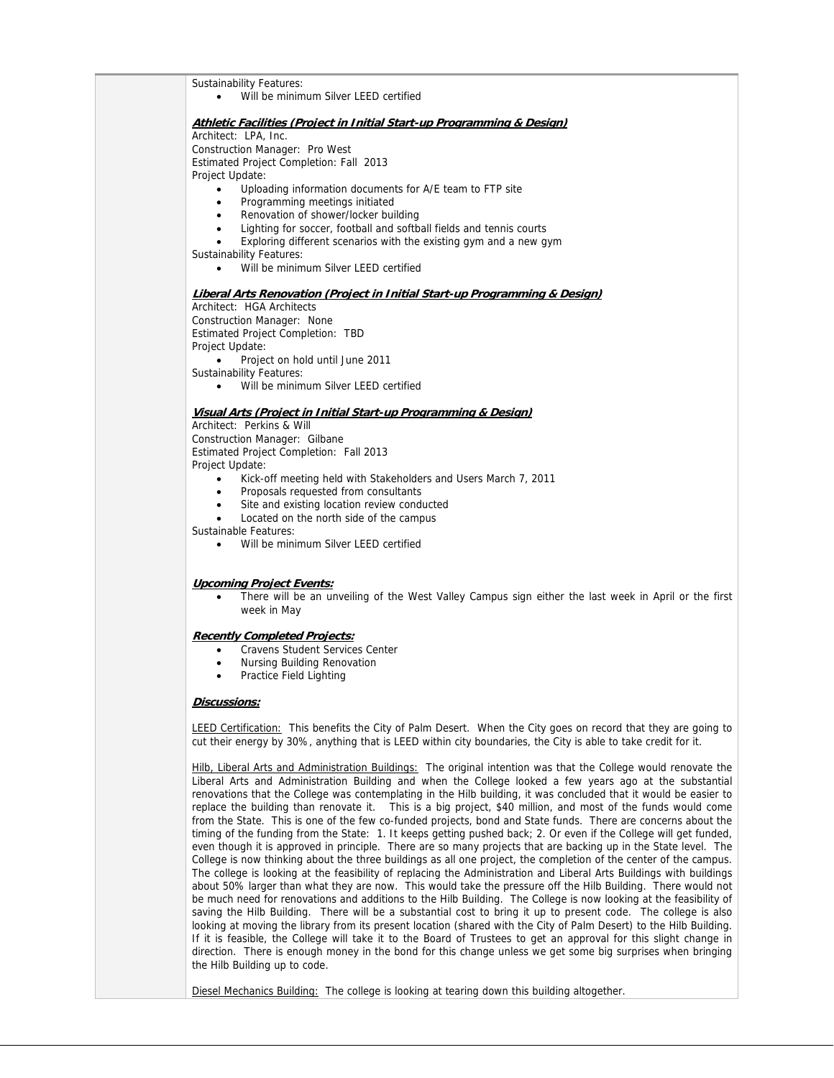Sustainability Features: Will be minimum Silver LEED certified **Athletic Facilities (Project in Initial Start-up Programming & Design)** Architect: LPA, Inc. Construction Manager: Pro West Estimated Project Completion: Fall 2013 Project Update: Uploading information documents for A/E team to FTP site • Programming meetings initiated Renovation of shower/locker building Lighting for soccer, football and softball fields and tennis courts Exploring different scenarios with the existing gym and a new gym Sustainability Features: Will be minimum Silver LEED certified **Liberal Arts Renovation (Project in Initial Start-up Programming & Design)** Architect: HGA Architects Construction Manager: None Estimated Project Completion: TBD Project Update: • Project on hold until June 2011 Sustainability Features: Will be minimum Silver LEED certified **Visual Arts (Project in Initial Start-up Programming & Design)** Architect: Perkins & Will Construction Manager: Gilbane Estimated Project Completion: Fall 2013 Project Update: Kick-off meeting held with Stakeholders and Users March 7, 2011 • Proposals requested from consultants • Site and existing location review conducted Located on the north side of the campus Sustainable Features: Will be minimum Silver LEED certified **Upcoming Project Events:**  There will be an unveiling of the West Valley Campus sign either the last week in April or the first week in May **Recently Completed Projects:** Cravens Student Services Center Nursing Building Renovation • Practice Field Lighting **Discussions:** LEED Certification: This benefits the City of Palm Desert. When the City goes on record that they are going to cut their energy by 30%, anything that is LEED within city boundaries, the City is able to take credit for it. Hilb, Liberal Arts and Administration Buildings: The original intention was that the College would renovate the Liberal Arts and Administration Building and when the College looked a few years ago at the substantial renovations that the College was contemplating in the Hilb building, it was concluded that it would be easier to replace the building than renovate it. This is a big project, \$40 million, and most of the funds would come from the State. This is one of the few co-funded projects, bond and State funds. There are concerns about the timing of the funding from the State: 1. It keeps getting pushed back; 2. Or even if the College will get funded, even though it is approved in principle. There are so many projects that are backing up in the State level. The College is now thinking about the three buildings as all one project, the completion of the center of the campus. The college is looking at the feasibility of replacing the Administration and Liberal Arts Buildings with buildings about 50% larger than what they are now. This would take the pressure off the Hilb Building. There would not be much need for renovations and additions to the Hilb Building. The College is now looking at the feasibility of saving the Hilb Building. There will be a substantial cost to bring it up to present code. The college is also looking at moving the library from its present location (shared with the City of Palm Desert) to the Hilb Building. If it is feasible, the College will take it to the Board of Trustees to get an approval for this slight change in direction. There is enough money in the bond for this change unless we get some big surprises when bringing

Diesel Mechanics Building: The college is looking at tearing down this building altogether.

the Hilb Building up to code.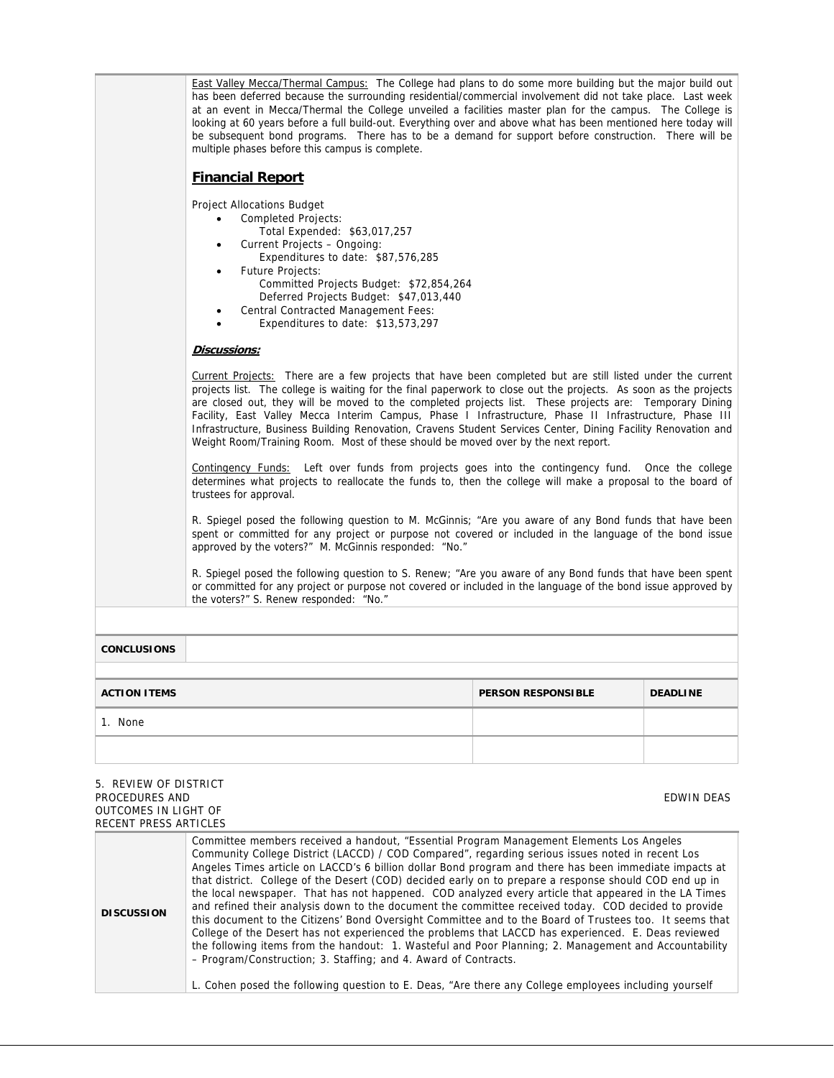| 1. None                 |                                                                                                                                                                                                                                                                                                                                                                                                                                                                                                                                                                                                                                                                           |                           |                 |  |  |
|-------------------------|---------------------------------------------------------------------------------------------------------------------------------------------------------------------------------------------------------------------------------------------------------------------------------------------------------------------------------------------------------------------------------------------------------------------------------------------------------------------------------------------------------------------------------------------------------------------------------------------------------------------------------------------------------------------------|---------------------------|-----------------|--|--|
| <b>ACTION ITEMS</b>     |                                                                                                                                                                                                                                                                                                                                                                                                                                                                                                                                                                                                                                                                           | <b>PERSON RESPONSIBLE</b> | <b>DEADLINE</b> |  |  |
| <b>CONCLUSIONS</b>      |                                                                                                                                                                                                                                                                                                                                                                                                                                                                                                                                                                                                                                                                           |                           |                 |  |  |
|                         |                                                                                                                                                                                                                                                                                                                                                                                                                                                                                                                                                                                                                                                                           |                           |                 |  |  |
|                         | R. Spiegel posed the following question to S. Renew; "Are you aware of any Bond funds that have been spent<br>or committed for any project or purpose not covered or included in the language of the bond issue approved by<br>the voters?" S. Renew responded: "No."                                                                                                                                                                                                                                                                                                                                                                                                     |                           |                 |  |  |
|                         | R. Spiegel posed the following question to M. McGinnis; "Are you aware of any Bond funds that have been<br>spent or committed for any project or purpose not covered or included in the language of the bond issue<br>approved by the voters?" M. McGinnis responded: "No."                                                                                                                                                                                                                                                                                                                                                                                               |                           |                 |  |  |
| trustees for approval.  | Contingency Funds: Left over funds from projects goes into the contingency fund. Once the college<br>determines what projects to reallocate the funds to, then the college will make a proposal to the board of                                                                                                                                                                                                                                                                                                                                                                                                                                                           |                           |                 |  |  |
|                         | Discussions:<br>Current Projects: There are a few projects that have been completed but are still listed under the current<br>projects list. The college is waiting for the final paperwork to close out the projects. As soon as the projects<br>are closed out, they will be moved to the completed projects list. These projects are: Temporary Dining<br>Facility, East Valley Mecca Interim Campus, Phase I Infrastructure, Phase II Infrastructure, Phase III<br>Infrastructure, Business Building Renovation, Cravens Student Services Center, Dining Facility Renovation and<br>Weight Room/Training Room. Most of these should be moved over by the next report. |                           |                 |  |  |
| $\bullet$               | Total Expended: \$63,017,257<br>Current Projects - Ongoing:<br>Expenditures to date: \$87,576,285<br><b>Future Projects:</b><br>Committed Projects Budget: \$72,854,264<br>Deferred Projects Budget: \$47,013,440<br>Central Contracted Management Fees:<br>Expenditures to date: \$13,573,297                                                                                                                                                                                                                                                                                                                                                                            |                           |                 |  |  |
| <b>Financial Report</b> | <b>Project Allocations Budget</b><br><b>Completed Projects:</b>                                                                                                                                                                                                                                                                                                                                                                                                                                                                                                                                                                                                           |                           |                 |  |  |
|                         | East Valley Mecca/Thermal Campus: The College had plans to do some more building but the major build out<br>has been deferred because the surrounding residential/commercial involvement did not take place. Last week<br>at an event in Mecca/Thermal the College unveiled a facilities master plan for the campus. The College is<br>looking at 60 years before a full build-out. Everything over and above what has been mentioned here today will<br>be subsequent bond programs. There has to be a demand for support before construction. There will be<br>multiple phases before this campus is complete.                                                          |                           |                 |  |  |
|                         |                                                                                                                                                                                                                                                                                                                                                                                                                                                                                                                                                                                                                                                                           |                           |                 |  |  |

| 5. REVIEW OF DISTRICT<br>PROCEDURES AND<br><b>OUTCOMES IN LIGHT OF</b><br>RECENT PRESS ARTICLES | EDWIN DEAS                                                                                                                                                                                                                                                                                                                                                                                                                                                                                                                                                                                                                                                                                                                                                                                                                                                                                                                                                                                                                                                                                                                              |
|-------------------------------------------------------------------------------------------------|-----------------------------------------------------------------------------------------------------------------------------------------------------------------------------------------------------------------------------------------------------------------------------------------------------------------------------------------------------------------------------------------------------------------------------------------------------------------------------------------------------------------------------------------------------------------------------------------------------------------------------------------------------------------------------------------------------------------------------------------------------------------------------------------------------------------------------------------------------------------------------------------------------------------------------------------------------------------------------------------------------------------------------------------------------------------------------------------------------------------------------------------|
| <b>DISCUSSION</b>                                                                               | Committee members received a handout, "Essential Program Management Elements Los Angeles<br>Community College District (LACCD) / COD Compared", regarding serious issues noted in recent Los<br>Angeles Times article on LACCD's 6 billion dollar Bond program and there has been immediate impacts at<br>that district. College of the Desert (COD) decided early on to prepare a response should COD end up in<br>the local newspaper. That has not happened. COD analyzed every article that appeared in the LA Times<br>and refined their analysis down to the document the committee received today. COD decided to provide<br>this document to the Citizens' Bond Oversight Committee and to the Board of Trustees too. It seems that<br>College of the Desert has not experienced the problems that LACCD has experienced. E. Deas reviewed<br>the following items from the handout: 1. Wasteful and Poor Planning; 2. Management and Accountability<br>- Program/Construction; 3. Staffing; and 4. Award of Contracts.<br>L. Cohen posed the following question to E. Deas, "Are there any College employees including yourself |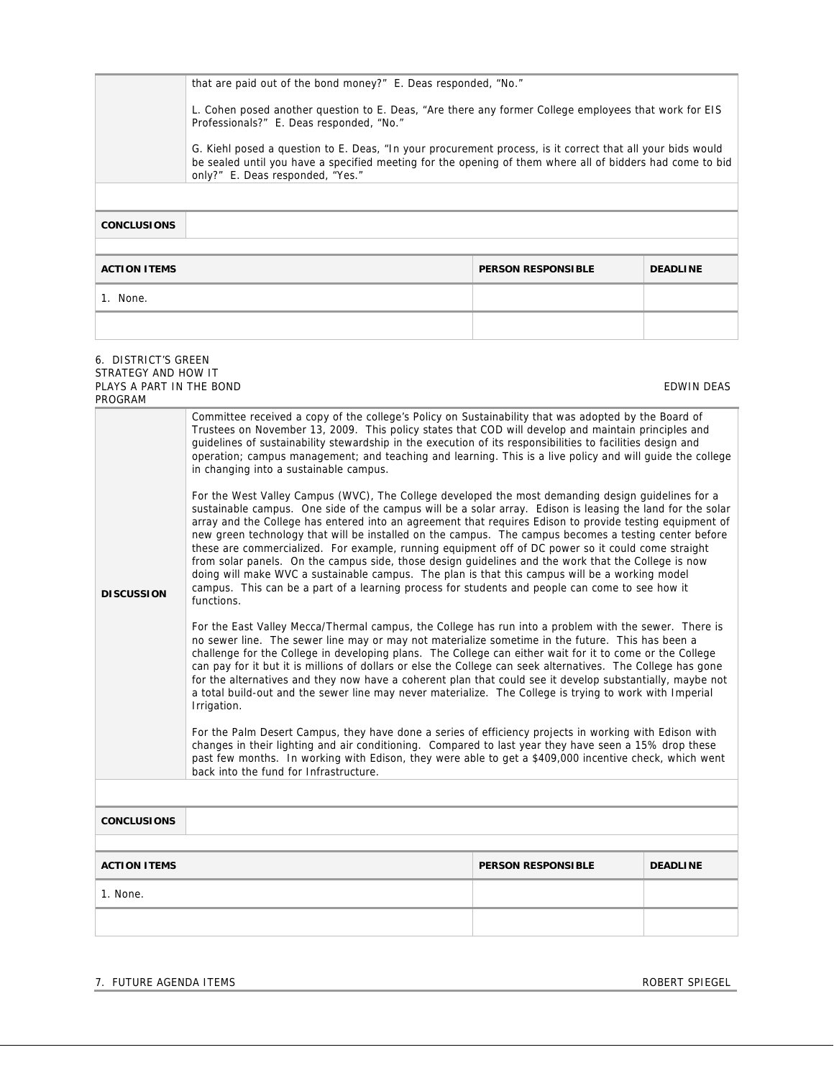|                                                                     | that are paid out of the bond money?" E. Deas responded, "No."                                                                                                                                                                                              |  |                   |  |  |
|---------------------------------------------------------------------|-------------------------------------------------------------------------------------------------------------------------------------------------------------------------------------------------------------------------------------------------------------|--|-------------------|--|--|
|                                                                     | L. Cohen posed another question to E. Deas, "Are there any former College employees that work for EIS<br>Professionals?" E. Deas responded, "No."                                                                                                           |  |                   |  |  |
|                                                                     | G. Kiehl posed a question to E. Deas, "In your procurement process, is it correct that all your bids would<br>be sealed until you have a specified meeting for the opening of them where all of bidders had come to bid<br>only?" E. Deas responded, "Yes." |  |                   |  |  |
|                                                                     |                                                                                                                                                                                                                                                             |  |                   |  |  |
| <b>CONCLUSIONS</b>                                                  |                                                                                                                                                                                                                                                             |  |                   |  |  |
|                                                                     |                                                                                                                                                                                                                                                             |  |                   |  |  |
| <b>ACTION ITEMS</b><br><b>DEADLINE</b><br><b>PERSON RESPONSIBLE</b> |                                                                                                                                                                                                                                                             |  |                   |  |  |
| 1. None.                                                            |                                                                                                                                                                                                                                                             |  |                   |  |  |
|                                                                     |                                                                                                                                                                                                                                                             |  |                   |  |  |
| 6. DISTRICT'S GREEN                                                 |                                                                                                                                                                                                                                                             |  |                   |  |  |
| STRATEGY AND HOW IT<br>PLAYS A PART IN THE BOND<br>PROGRAM          |                                                                                                                                                                                                                                                             |  | <b>EDWIN DEAS</b> |  |  |
|                                                                     | $\sim$ $\sim$ $\sim$ $\sim$ $\sim$ $\sim$ $\sim$                                                                                                                                                                                                            |  |                   |  |  |

| <b>DISCUSSION</b>   | quidelines of sustainability stewardship in the execution of its responsibilities to facilities design and<br>operation; campus management; and teaching and learning. This is a live policy and will guide the college<br>in changing into a sustainable campus.<br>For the West Valley Campus (WVC), The College developed the most demanding design guidelines for a<br>sustainable campus. One side of the campus will be a solar array. Edison is leasing the land for the solar<br>array and the College has entered into an agreement that requires Edison to provide testing equipment of<br>new green technology that will be installed on the campus. The campus becomes a testing center before<br>these are commercialized. For example, running equipment off of DC power so it could come straight<br>from solar panels. On the campus side, those design guidelines and the work that the College is now<br>doing will make WVC a sustainable campus. The plan is that this campus will be a working model<br>campus. This can be a part of a learning process for students and people can come to see how it<br>functions.<br>For the East Valley Mecca/Thermal campus, the College has run into a problem with the sewer. There is<br>no sewer line. The sewer line may or may not materialize sometime in the future. This has been a<br>challenge for the College in developing plans. The College can either wait for it to come or the College<br>can pay for it but it is millions of dollars or else the College can seek alternatives. The College has gone<br>for the alternatives and they now have a coherent plan that could see it develop substantially, maybe not<br>a total build-out and the sewer line may never materialize. The College is trying to work with Imperial<br>Irrigation.<br>For the Palm Desert Campus, they have done a series of efficiency projects in working with Edison with<br>changes in their lighting and air conditioning. Compared to last year they have seen a 15% drop these<br>past few months. In working with Edison, they were able to get a \$409,000 incentive check, which went<br>back into the fund for Infrastructure. |                           |                 |  |
|---------------------|---------------------------------------------------------------------------------------------------------------------------------------------------------------------------------------------------------------------------------------------------------------------------------------------------------------------------------------------------------------------------------------------------------------------------------------------------------------------------------------------------------------------------------------------------------------------------------------------------------------------------------------------------------------------------------------------------------------------------------------------------------------------------------------------------------------------------------------------------------------------------------------------------------------------------------------------------------------------------------------------------------------------------------------------------------------------------------------------------------------------------------------------------------------------------------------------------------------------------------------------------------------------------------------------------------------------------------------------------------------------------------------------------------------------------------------------------------------------------------------------------------------------------------------------------------------------------------------------------------------------------------------------------------------------------------------------------------------------------------------------------------------------------------------------------------------------------------------------------------------------------------------------------------------------------------------------------------------------------------------------------------------------------------------------------------------------------------------------------------------------------------------------------------------------------------------------------|---------------------------|-----------------|--|
|                     |                                                                                                                                                                                                                                                                                                                                                                                                                                                                                                                                                                                                                                                                                                                                                                                                                                                                                                                                                                                                                                                                                                                                                                                                                                                                                                                                                                                                                                                                                                                                                                                                                                                                                                                                                                                                                                                                                                                                                                                                                                                                                                                                                                                                   |                           |                 |  |
| <b>CONCLUSIONS</b>  |                                                                                                                                                                                                                                                                                                                                                                                                                                                                                                                                                                                                                                                                                                                                                                                                                                                                                                                                                                                                                                                                                                                                                                                                                                                                                                                                                                                                                                                                                                                                                                                                                                                                                                                                                                                                                                                                                                                                                                                                                                                                                                                                                                                                   |                           |                 |  |
|                     |                                                                                                                                                                                                                                                                                                                                                                                                                                                                                                                                                                                                                                                                                                                                                                                                                                                                                                                                                                                                                                                                                                                                                                                                                                                                                                                                                                                                                                                                                                                                                                                                                                                                                                                                                                                                                                                                                                                                                                                                                                                                                                                                                                                                   |                           |                 |  |
| <b>ACTION ITEMS</b> |                                                                                                                                                                                                                                                                                                                                                                                                                                                                                                                                                                                                                                                                                                                                                                                                                                                                                                                                                                                                                                                                                                                                                                                                                                                                                                                                                                                                                                                                                                                                                                                                                                                                                                                                                                                                                                                                                                                                                                                                                                                                                                                                                                                                   | <b>PERSON RESPONSIBLE</b> | <b>DEADLINE</b> |  |
| 1. None.            |                                                                                                                                                                                                                                                                                                                                                                                                                                                                                                                                                                                                                                                                                                                                                                                                                                                                                                                                                                                                                                                                                                                                                                                                                                                                                                                                                                                                                                                                                                                                                                                                                                                                                                                                                                                                                                                                                                                                                                                                                                                                                                                                                                                                   |                           |                 |  |
|                     |                                                                                                                                                                                                                                                                                                                                                                                                                                                                                                                                                                                                                                                                                                                                                                                                                                                                                                                                                                                                                                                                                                                                                                                                                                                                                                                                                                                                                                                                                                                                                                                                                                                                                                                                                                                                                                                                                                                                                                                                                                                                                                                                                                                                   |                           |                 |  |